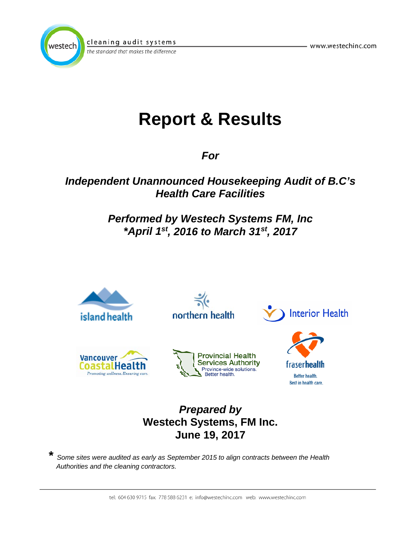



the standard that makes the difference

# **Report & Results**

*For*

## *Independent Unannounced Housekeeping Audit of B.C's Health Care Facilities*

## *Performed by Westech Systems FM, Inc \*April 1st, 2016 to March 31st, 2017*



## **Westech Systems, FM Inc. June 19, 2017**

**\*** *Some sites were audited as early as September 2015 to align contracts between the Health Authorities and the cleaning contractors.*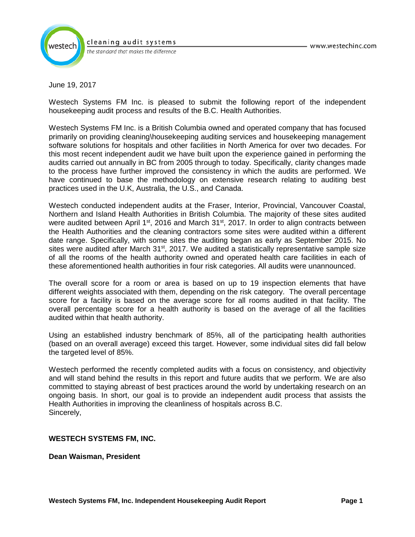

the standard that makes the difference

June 19, 2017

Westech Systems FM Inc. is pleased to submit the following report of the independent housekeeping audit process and results of the B.C. Health Authorities.

Westech Systems FM Inc. is a British Columbia owned and operated company that has focused primarily on providing cleaning\housekeeping auditing services and housekeeping management software solutions for hospitals and other facilities in North America for over two decades. For this most recent independent audit we have built upon the experience gained in performing the audits carried out annually in BC from 2005 through to today. Specifically, clarity changes made to the process have further improved the consistency in which the audits are performed. We have continued to base the methodology on extensive research relating to auditing best practices used in the U.K, Australia, the U.S., and Canada.

Westech conducted independent audits at the Fraser, Interior, Provincial, Vancouver Coastal, Northern and Island Health Authorities in British Columbia. The majority of these sites audited were audited between April 1<sup>st</sup>, 2016 and March 31<sup>st</sup>, 2017. In order to align contracts between the Health Authorities and the cleaning contractors some sites were audited within a different date range. Specifically, with some sites the auditing began as early as September 2015. No sites were audited after March  $31<sup>st</sup>$ , 2017. We audited a statistically representative sample size of all the rooms of the health authority owned and operated health care facilities in each of these aforementioned health authorities in four risk categories. All audits were unannounced.

The overall score for a room or area is based on up to 19 inspection elements that have different weights associated with them, depending on the risk category. The overall percentage score for a facility is based on the average score for all rooms audited in that facility. The overall percentage score for a health authority is based on the average of all the facilities audited within that health authority.

Using an established industry benchmark of 85%, all of the participating health authorities (based on an overall average) exceed this target. However, some individual sites did fall below the targeted level of 85%.

Westech performed the recently completed audits with a focus on consistency, and objectivity and will stand behind the results in this report and future audits that we perform. We are also committed to staying abreast of best practices around the world by undertaking research on an ongoing basis. In short, our goal is to provide an independent audit process that assists the Health Authorities in improving the cleanliness of hospitals across B.C. Sincerely,

#### **WESTECH SYSTEMS FM, INC.**

**Dean Waisman, President**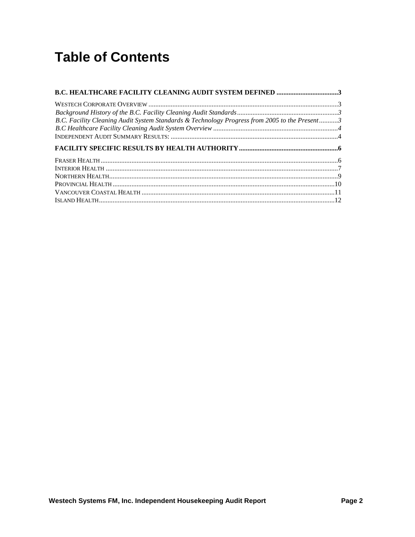## **Table of Contents**

| <b>B.C. HEALTHCARE FACILITY CLEANING AUDIT SYSTEM DEFINED 3</b>                               |  |
|-----------------------------------------------------------------------------------------------|--|
|                                                                                               |  |
|                                                                                               |  |
| B.C. Facility Cleaning Audit System Standards & Technology Progress from 2005 to the Present3 |  |
|                                                                                               |  |
|                                                                                               |  |
|                                                                                               |  |
|                                                                                               |  |
|                                                                                               |  |
|                                                                                               |  |
|                                                                                               |  |
|                                                                                               |  |
|                                                                                               |  |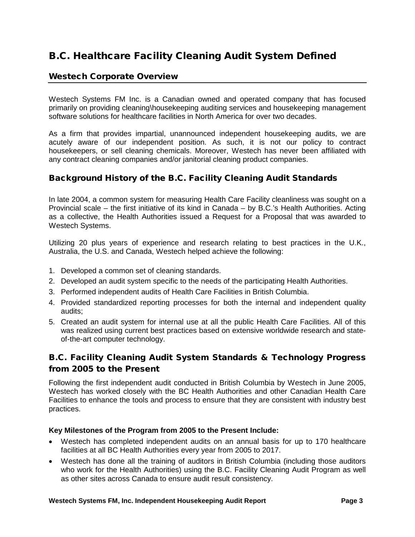### <span id="page-3-0"></span>B.C. Healthcare Facility Cleaning Audit System Defined

#### <span id="page-3-1"></span>Westech Corporate Overview

Westech Systems FM Inc. is a Canadian owned and operated company that has focused primarily on providing cleaning\housekeeping auditing services and housekeeping management software solutions for healthcare facilities in North America for over two decades.

As a firm that provides impartial, unannounced independent housekeeping audits, we are acutely aware of our independent position. As such, it is not our policy to contract housekeepers, or sell cleaning chemicals. Moreover, Westech has never been affiliated with any contract cleaning companies and/or janitorial cleaning product companies.

#### <span id="page-3-2"></span>Background History of the B.C. Facility Cleaning Audit Standards

In late 2004, a common system for measuring Health Care Facility cleanliness was sought on a Provincial scale – the first initiative of its kind in Canada – by B.C.'s Health Authorities. Acting as a collective, the Health Authorities issued a Request for a Proposal that was awarded to Westech Systems.

Utilizing 20 plus years of experience and research relating to best practices in the U.K., Australia, the U.S. and Canada, Westech helped achieve the following:

- 1. Developed a common set of cleaning standards.
- 2. Developed an audit system specific to the needs of the participating Health Authorities.
- 3. Performed independent audits of Health Care Facilities in British Columbia.
- 4. Provided standardized reporting processes for both the internal and independent quality audits;
- 5. Created an audit system for internal use at all the public Health Care Facilities. All of this was realized using current best practices based on extensive worldwide research and stateof-the-art computer technology.

#### <span id="page-3-3"></span>B.C. Facility Cleaning Audit System Standards & Technology Progress from 2005 to the Present

Following the first independent audit conducted in British Columbia by Westech in June 2005, Westech has worked closely with the BC Health Authorities and other Canadian Health Care Facilities to enhance the tools and process to ensure that they are consistent with industry best practices.

#### **Key Milestones of the Program from 2005 to the Present Include:**

- Westech has completed independent audits on an annual basis for up to 170 healthcare facilities at all BC Health Authorities every year from 2005 to 2017.
- Westech has done all the training of auditors in British Columbia (including those auditors who work for the Health Authorities) using the B.C. Facility Cleaning Audit Program as well as other sites across Canada to ensure audit result consistency.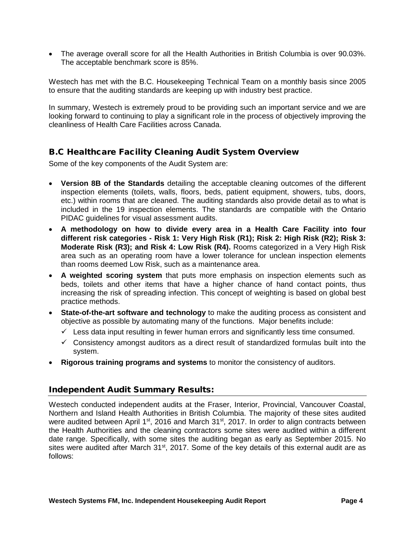• The average overall score for all the Health Authorities in British Columbia is over 90.03%. The acceptable benchmark score is 85%.

Westech has met with the B.C. Housekeeping Technical Team on a monthly basis since 2005 to ensure that the auditing standards are keeping up with industry best practice.

In summary, Westech is extremely proud to be providing such an important service and we are looking forward to continuing to play a significant role in the process of objectively improving the cleanliness of Health Care Facilities across Canada.

#### <span id="page-4-0"></span>B.C Healthcare Facility Cleaning Audit System Overview

Some of the key components of the Audit System are:

- **Version 8B of the Standards** detailing the acceptable cleaning outcomes of the different inspection elements (toilets, walls, floors, beds, patient equipment, showers, tubs, doors, etc.) within rooms that are cleaned. The auditing standards also provide detail as to what is included in the 19 inspection elements. The standards are compatible with the Ontario PIDAC guidelines for visual assessment audits.
- **A methodology on how to divide every area in a Health Care Facility into four different risk categories - Risk 1: Very High Risk (R1); Risk 2: High Risk (R2); Risk 3: Moderate Risk (R3); and Risk 4: Low Risk (R4).** Rooms categorized in a Very High Risk area such as an operating room have a lower tolerance for unclean inspection elements than rooms deemed Low Risk, such as a maintenance area.
- **A weighted scoring system** that puts more emphasis on inspection elements such as beds, toilets and other items that have a higher chance of hand contact points, thus increasing the risk of spreading infection. This concept of weighting is based on global best practice methods.
- **State-of-the-art software and technology** to make the auditing process as consistent and objective as possible by automating many of the functions. Major benefits include:
	- $\checkmark$  Less data input resulting in fewer human errors and significantly less time consumed.
	- $\checkmark$  Consistency amongst auditors as a direct result of standardized formulas built into the system.
- **Rigorous training programs and systems** to monitor the consistency of auditors.

#### <span id="page-4-1"></span>Independent Audit Summary Results:

Westech conducted independent audits at the Fraser, Interior, Provincial, Vancouver Coastal, Northern and Island Health Authorities in British Columbia. The majority of these sites audited were audited between April 1<sup>st</sup>, 2016 and March 31<sup>st</sup>, 2017. In order to align contracts between the Health Authorities and the cleaning contractors some sites were audited within a different date range. Specifically, with some sites the auditing began as early as September 2015. No sites were audited after March 31<sup>st</sup>, 2017. Some of the key details of this external audit are as follows: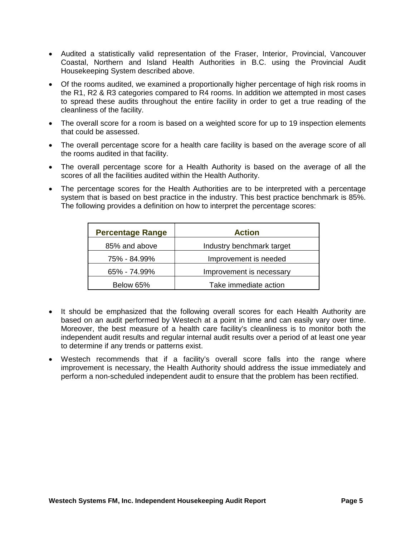- Audited a statistically valid representation of the Fraser, Interior, Provincial, Vancouver Coastal, Northern and Island Health Authorities in B.C. using the Provincial Audit Housekeeping System described above.
- Of the rooms audited, we examined a proportionally higher percentage of high risk rooms in the R1, R2 & R3 categories compared to R4 rooms. In addition we attempted in most cases to spread these audits throughout the entire facility in order to get a true reading of the cleanliness of the facility.
- The overall score for a room is based on a weighted score for up to 19 inspection elements that could be assessed.
- The overall percentage score for a health care facility is based on the average score of all the rooms audited in that facility.
- The overall percentage score for a Health Authority is based on the average of all the scores of all the facilities audited within the Health Authority.
- The percentage scores for the Health Authorities are to be interpreted with a percentage system that is based on best practice in the industry. This best practice benchmark is 85%. The following provides a definition on how to interpret the percentage scores:

| <b>Percentage Range</b> | <b>Action</b>             |
|-------------------------|---------------------------|
| 85% and above           | Industry benchmark target |
| 75% - 84.99%            | Improvement is needed     |
| 65% - 74.99%            | Improvement is necessary  |
| Below 65%               | Take immediate action     |

- It should be emphasized that the following overall scores for each Health Authority are based on an audit performed by Westech at a point in time and can easily vary over time. Moreover, the best measure of a health care facility's cleanliness is to monitor both the independent audit results and regular internal audit results over a period of at least one year to determine if any trends or patterns exist.
- Westech recommends that if a facility's overall score falls into the range where improvement is necessary, the Health Authority should address the issue immediately and perform a non-scheduled independent audit to ensure that the problem has been rectified.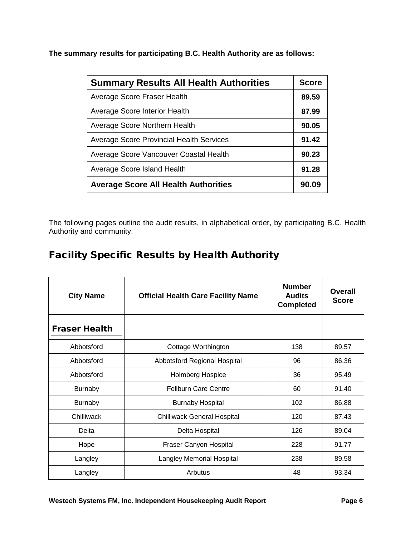**The summary results for participating B.C. Health Authority are as follows:**

| <b>Summary Results All Health Authorities</b>   |       |
|-------------------------------------------------|-------|
| Average Score Fraser Health                     | 89.59 |
| Average Score Interior Health                   | 87.99 |
| Average Score Northern Health                   | 90.05 |
| <b>Average Score Provincial Health Services</b> | 91.42 |
| Average Score Vancouver Coastal Health          | 90.23 |
| Average Score Island Health                     |       |
| <b>Average Score All Health Authorities</b>     | 90.09 |

The following pages outline the audit results, in alphabetical order, by participating B.C. Health Authority and community.

### <span id="page-6-0"></span>Facility Specific Results by Health Authority

<span id="page-6-1"></span>

| <b>City Name</b>     | <b>Official Health Care Facility Name</b> | <b>Number</b><br><b>Audits</b><br><b>Completed</b> | <b>Overall</b><br><b>Score</b> |
|----------------------|-------------------------------------------|----------------------------------------------------|--------------------------------|
| <b>Fraser Health</b> |                                           |                                                    |                                |
| Abbotsford           | Cottage Worthington                       | 138                                                | 89.57                          |
| Abbotsford           | Abbotsford Regional Hospital              | 96                                                 | 86.36                          |
| Abbotsford           | <b>Holmberg Hospice</b>                   | 36                                                 | 95.49                          |
| <b>Burnaby</b>       | <b>Fellburn Care Centre</b>               | 60                                                 | 91.40                          |
| <b>Burnaby</b>       | <b>Burnaby Hospital</b>                   | 102                                                | 86.88                          |
| Chilliwack           | <b>Chilliwack General Hospital</b>        | 120                                                | 87.43                          |
| Delta                | Delta Hospital                            | 126                                                | 89.04                          |
| Hope                 | Fraser Canyon Hospital                    | 228                                                | 91.77                          |
| Langley              | <b>Langley Memorial Hospital</b>          | 238                                                | 89.58                          |
| Langley              | Arbutus                                   | 48                                                 | 93.34                          |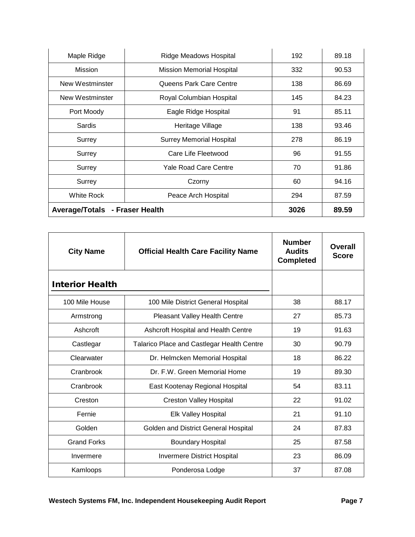| Maple Ridge     | Ridge Meadows Hospital           | 192  | 89.18 |
|-----------------|----------------------------------|------|-------|
| <b>Mission</b>  | <b>Mission Memorial Hospital</b> | 332  | 90.53 |
| New Westminster | Queens Park Care Centre          | 138  | 86.69 |
| New Westminster | Royal Columbian Hospital         | 145  | 84.23 |
| Port Moody      | Eagle Ridge Hospital             | 91   | 85.11 |
| Sardis          | Heritage Village                 | 138  | 93.46 |
| Surrey          | <b>Surrey Memorial Hospital</b>  | 278  | 86.19 |
| Surrey          | Care Life Fleetwood              | 96   | 91.55 |
| Surrey          | Yale Road Care Centre            | 70   | 91.86 |
| Surrey          | Czorny                           | 60   | 94.16 |
| White Rock      | Peace Arch Hospital              | 294  | 87.59 |
| Average/Totals  | - Fraser Health                  | 3026 | 89.59 |

<span id="page-7-0"></span>

| <b>City Name</b>       | <b>Official Health Care Facility Name</b>  | <b>Number</b><br><b>Audits</b><br><b>Completed</b> | Overall<br><b>Score</b> |
|------------------------|--------------------------------------------|----------------------------------------------------|-------------------------|
| <b>Interior Health</b> |                                            |                                                    |                         |
| 100 Mile House         | 100 Mile District General Hospital         | 38                                                 | 88.17                   |
| Armstrong              | <b>Pleasant Valley Health Centre</b>       | 27                                                 | 85.73                   |
| Ashcroft               | Ashcroft Hospital and Health Centre        | 19                                                 | 91.63                   |
| Castlegar              | Talarico Place and Castlegar Health Centre | 30                                                 | 90.79                   |
| Clearwater             | Dr. Helmcken Memorial Hospital             | 18                                                 | 86.22                   |
| Cranbrook              | Dr. F.W. Green Memorial Home               | 19                                                 | 89.30                   |
| Cranbrook              | East Kootenay Regional Hospital            | 54                                                 | 83.11                   |
| Creston                | <b>Creston Valley Hospital</b>             | 22                                                 | 91.02                   |
| Fernie                 | <b>Elk Valley Hospital</b>                 | 21                                                 | 91.10                   |
| Golden                 | Golden and District General Hospital       | 24                                                 | 87.83                   |
| <b>Grand Forks</b>     | <b>Boundary Hospital</b>                   | 25                                                 | 87.58                   |
| Invermere              | <b>Invermere District Hospital</b>         | 23                                                 | 86.09                   |
| Kamloops               | Ponderosa Lodge                            | 37                                                 | 87.08                   |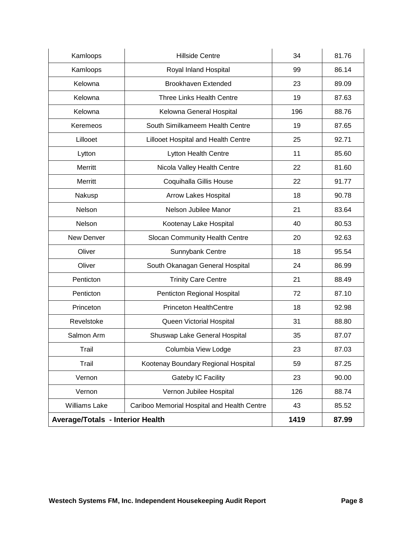| Kamloops                                | <b>Hillside Centre</b>                      | 34   | 81.76 |
|-----------------------------------------|---------------------------------------------|------|-------|
| Kamloops                                | Royal Inland Hospital                       | 99   | 86.14 |
| Kelowna                                 | <b>Brookhaven Extended</b>                  | 23   | 89.09 |
| Kelowna                                 | <b>Three Links Health Centre</b>            | 19   | 87.63 |
| Kelowna                                 | Kelowna General Hospital                    | 196  | 88.76 |
| Keremeos                                | South Similkameem Health Centre             | 19   | 87.65 |
| Lillooet                                | Lillooet Hospital and Health Centre         | 25   | 92.71 |
| Lytton                                  | Lytton Health Centre                        | 11   | 85.60 |
| Merritt                                 | Nicola Valley Health Centre                 | 22   | 81.60 |
| Merritt                                 | Coquihalla Gillis House                     | 22   | 91.77 |
| Nakusp                                  | <b>Arrow Lakes Hospital</b>                 | 18   | 90.78 |
| Nelson                                  | Nelson Jubilee Manor                        | 21   | 83.64 |
| Nelson                                  | Kootenay Lake Hospital                      | 40   | 80.53 |
| New Denver                              | Slocan Community Health Centre              | 20   | 92.63 |
| Oliver                                  | Sunnybank Centre                            | 18   | 95.54 |
| Oliver                                  | South Okanagan General Hospital             | 24   | 86.99 |
| Penticton                               | <b>Trinity Care Centre</b>                  | 21   | 88.49 |
| Penticton                               | Penticton Regional Hospital                 | 72   | 87.10 |
| Princeton                               | <b>Princeton HealthCentre</b>               | 18   | 92.98 |
| Revelstoke                              | Queen Victorial Hospital                    | 31   | 88.80 |
| Salmon Arm                              | Shuswap Lake General Hospital               | 35   | 87.07 |
| Trail                                   | Columbia View Lodge                         | 23   | 87.03 |
| Trail                                   | Kootenay Boundary Regional Hospital         | 59   | 87.25 |
| Vernon                                  | Gateby IC Facility                          | 23   | 90.00 |
| Vernon                                  | Vernon Jubilee Hospital                     | 126  | 88.74 |
| Williams Lake                           | Cariboo Memorial Hospital and Health Centre | 43   | 85.52 |
| <b>Average/Totals - Interior Health</b> |                                             | 1419 | 87.99 |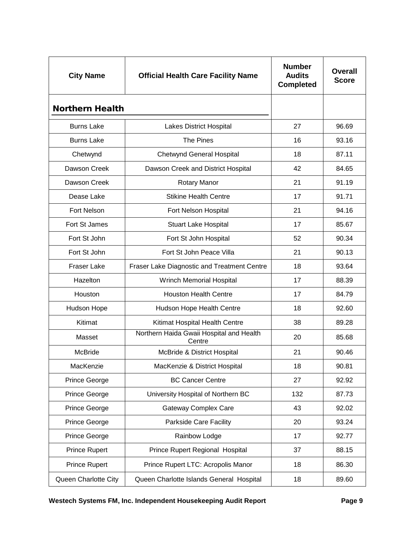<span id="page-9-0"></span>

| <b>City Name</b>       | <b>Official Health Care Facility Name</b>          | <b>Number</b><br><b>Audits</b><br><b>Completed</b> | <b>Overall</b><br><b>Score</b> |
|------------------------|----------------------------------------------------|----------------------------------------------------|--------------------------------|
| <b>Northern Health</b> |                                                    |                                                    |                                |
| <b>Burns Lake</b>      | <b>Lakes District Hospital</b>                     | 27                                                 | 96.69                          |
| <b>Burns Lake</b>      | The Pines                                          | 16                                                 | 93.16                          |
| Chetwynd               | <b>Chetwynd General Hospital</b>                   | 18                                                 | 87.11                          |
| Dawson Creek           | Dawson Creek and District Hospital                 | 42                                                 | 84.65                          |
| Dawson Creek           | <b>Rotary Manor</b>                                | 21                                                 | 91.19                          |
| Dease Lake             | <b>Stikine Health Centre</b>                       | 17                                                 | 91.71                          |
| <b>Fort Nelson</b>     | Fort Nelson Hospital                               | 21                                                 | 94.16                          |
| Fort St James          | <b>Stuart Lake Hospital</b>                        | 17                                                 | 85.67                          |
| Fort St John           | Fort St John Hospital                              | 52                                                 | 90.34                          |
| Fort St John           | Fort St John Peace Villa                           | 21                                                 | 90.13                          |
| <b>Fraser Lake</b>     | Fraser Lake Diagnostic and Treatment Centre        | 18                                                 | 93.64                          |
| Hazelton               | Wrinch Memorial Hospital                           | 17                                                 | 88.39                          |
| Houston                | <b>Houston Health Centre</b>                       | 17                                                 | 84.79                          |
| Hudson Hope            | Hudson Hope Health Centre                          | 18                                                 | 92.60                          |
| Kitimat                | Kitimat Hospital Health Centre                     | 38                                                 | 89.28                          |
| Masset                 | Northern Haida Gwaii Hospital and Health<br>Centre | 20                                                 | 85.68                          |
| <b>McBride</b>         | McBride & District Hospital                        | 21                                                 | 90.46                          |
| MacKenzie              | MacKenzie & District Hospital                      | 18                                                 | 90.81                          |
| Prince George          | <b>BC Cancer Centre</b>                            | 27                                                 | 92.92                          |
| Prince George          | University Hospital of Northern BC                 | 132                                                | 87.73                          |
| Prince George          | <b>Gateway Complex Care</b>                        | 43                                                 | 92.02                          |
| <b>Prince George</b>   | Parkside Care Facility                             | 20                                                 | 93.24                          |
| Prince George          | Rainbow Lodge                                      | 17                                                 | 92.77                          |
| Prince Rupert          | Prince Rupert Regional Hospital                    | 37                                                 | 88.15                          |
| Prince Rupert          | Prince Rupert LTC: Acropolis Manor                 | 18                                                 | 86.30                          |
| Queen Charlotte City   | Queen Charlotte Islands General Hospital           | 18                                                 | 89.60                          |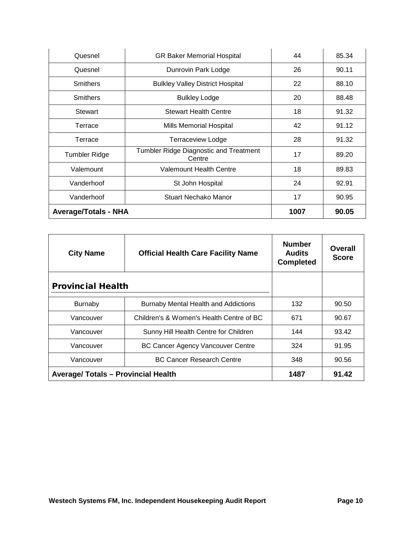| Quesnel                     | <b>GR Baker Memorial Hospital</b>                | 44   | 85.34 |
|-----------------------------|--------------------------------------------------|------|-------|
| Quesnel                     | Dunrovin Park Lodge                              | 26   | 90.11 |
| <b>Smithers</b>             | <b>Bulkley Valley District Hospital</b>          | 22   | 88.10 |
| <b>Smithers</b>             | <b>Bulkley Lodge</b>                             | 20   | 88.48 |
| <b>Stewart</b>              | <b>Stewart Health Centre</b>                     | 18   | 91.32 |
| Terrace                     | <b>Mills Memorial Hospital</b>                   | 42   | 91.12 |
| Terrace                     | <b>Terraceview Lodge</b>                         | 28   | 91.32 |
| <b>Tumbler Ridge</b>        | Tumbler Ridge Diagnostic and Treatment<br>Centre | 17   | 89.20 |
| Valemount                   | <b>Valemount Health Centre</b>                   | 18   | 89.83 |
| Vanderhoof                  | St John Hospital                                 | 24   | 92.91 |
| Vanderhoof                  | Stuart Nechako Manor                             | 17   | 90.95 |
| <b>Average/Totals - NHA</b> |                                                  | 1007 | 90.05 |

<span id="page-10-0"></span>

| <b>City Name</b>                           | <b>Official Health Care Facility Name</b>   | <b>Number</b><br><b>Audits</b><br><b>Completed</b> | Overall<br><b>Score</b> |
|--------------------------------------------|---------------------------------------------|----------------------------------------------------|-------------------------|
| <b>Provincial Health</b>                   |                                             |                                                    |                         |
| Burnaby                                    | <b>Burnaby Mental Health and Addictions</b> | 132                                                | 90.50                   |
| Vancouver                                  | Children's & Women's Health Centre of BC    | 671                                                | 90.67                   |
| Vancouver                                  | Sunny Hill Health Centre for Children       | 144                                                | 93.42                   |
| Vancouver                                  | <b>BC Cancer Agency Vancouver Centre</b>    | 324                                                | 91.95                   |
| Vancouver                                  | <b>BC Cancer Research Centre</b>            | 348                                                | 90.56                   |
| <b>Average/ Totals - Provincial Health</b> |                                             | 1487                                               | 91.42                   |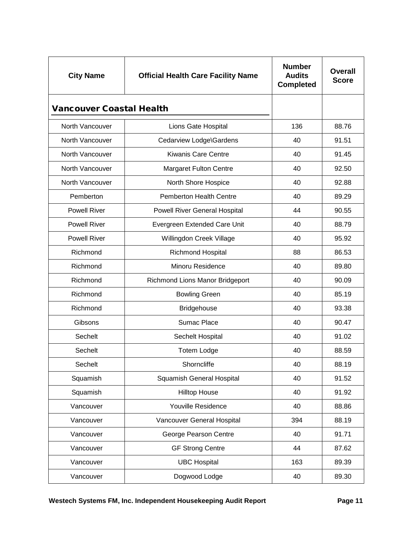<span id="page-11-0"></span>

| <b>City Name</b>                | <b>Official Health Care Facility Name</b> | <b>Number</b><br><b>Audits</b><br><b>Completed</b> | <b>Overall</b><br><b>Score</b> |
|---------------------------------|-------------------------------------------|----------------------------------------------------|--------------------------------|
| <b>Vancouver Coastal Health</b> |                                           |                                                    |                                |
| North Vancouver                 | Lions Gate Hospital                       | 136                                                | 88.76                          |
| North Vancouver                 | Cedarview Lodge\Gardens                   | 40                                                 | 91.51                          |
| North Vancouver                 | Kiwanis Care Centre                       | 40                                                 | 91.45                          |
| North Vancouver                 | <b>Margaret Fulton Centre</b>             | 40                                                 | 92.50                          |
| North Vancouver                 | North Shore Hospice                       | 40                                                 | 92.88                          |
| Pemberton                       | <b>Pemberton Health Centre</b>            | 40                                                 | 89.29                          |
| <b>Powell River</b>             | <b>Powell River General Hospital</b>      | 44                                                 | 90.55                          |
| <b>Powell River</b>             | Evergreen Extended Care Unit              | 40                                                 | 88.79                          |
| <b>Powell River</b>             | Willingdon Creek Village                  | 40                                                 | 95.92                          |
| Richmond                        | <b>Richmond Hospital</b>                  | 88                                                 | 86.53                          |
| Richmond                        | Minoru Residence                          | 40                                                 | 89.80                          |
| Richmond                        | Richmond Lions Manor Bridgeport           | 40                                                 | 90.09                          |
| Richmond                        | <b>Bowling Green</b>                      | 40                                                 | 85.19                          |
| Richmond                        | <b>Bridgehouse</b>                        | 40                                                 | 93.38                          |
| Gibsons                         | <b>Sumac Place</b>                        | 40                                                 | 90.47                          |
| Sechelt                         | Sechelt Hospital                          | 40                                                 | 91.02                          |
| Sechelt                         | Totem Lodge                               | 40                                                 | 88.59                          |
| Sechelt                         | Shorncliffe                               | 40                                                 | 88.19                          |
| Squamish                        | <b>Squamish General Hospital</b>          | 40                                                 | 91.52                          |
| Squamish                        | <b>Hilltop House</b>                      | 40                                                 | 91.92                          |
| Vancouver                       | Youville Residence                        | 40                                                 | 88.86                          |
| Vancouver                       | Vancouver General Hospital                | 394                                                | 88.19                          |
| Vancouver                       | George Pearson Centre                     | 40                                                 | 91.71                          |
| Vancouver                       | <b>GF Strong Centre</b>                   | 44                                                 | 87.62                          |
| Vancouver                       | <b>UBC Hospital</b>                       | 163                                                | 89.39                          |
| Vancouver                       | Dogwood Lodge                             | 40                                                 | 89.30                          |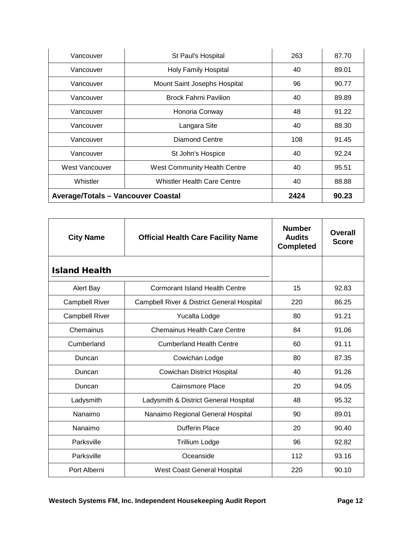| Vancouver                                 | St Paul's Hospital                 | 263  | 87.70 |
|-------------------------------------------|------------------------------------|------|-------|
| Vancouver                                 | <b>Holy Family Hospital</b>        | 40   | 89.01 |
| Vancouver                                 | Mount Saint Josephs Hospital       | 96   | 90.77 |
| Vancouver                                 | <b>Brock Fahrni Pavilion</b>       | 40   | 89.89 |
| Vancouver                                 | Honoria Conway                     | 48   | 91.22 |
| Vancouver                                 | Langara Site                       | 40   | 88.30 |
| Vancouver                                 | <b>Diamond Centre</b>              | 108  | 91.45 |
| Vancouver                                 | St John's Hospice                  | 40   | 92.24 |
| West Vancouver                            | West Community Health Centre       | 40   | 95.51 |
| Whistler                                  | <b>Whistler Health Care Centre</b> | 40   | 88.88 |
| <b>Average/Totals - Vancouver Coastal</b> |                                    | 2424 | 90.23 |

<span id="page-12-0"></span>

| <b>City Name</b>      | <b>Official Health Care Facility Name</b>  | <b>Number</b><br><b>Audits</b><br><b>Completed</b> | Overall<br><b>Score</b> |
|-----------------------|--------------------------------------------|----------------------------------------------------|-------------------------|
| <b>Island Health</b>  |                                            |                                                    |                         |
| Alert Bay             | <b>Cormorant Island Health Centre</b>      | 15                                                 | 92.83                   |
| <b>Campbell River</b> | Campbell River & District General Hospital | 220                                                | 86.25                   |
| <b>Campbell River</b> | Yucalta Lodge                              | 80                                                 | 91.21                   |
| Chemainus             | <b>Chemainus Health Care Centre</b>        | 84                                                 | 91.06                   |
| Cumberland            | <b>Cumberland Health Centre</b>            | 60                                                 | 91.11                   |
| Duncan                | Cowichan Lodge                             | 80                                                 | 87.35                   |
| Duncan                | <b>Cowichan District Hospital</b>          | 40                                                 | 91.26                   |
| Duncan                | Cairnsmore Place                           | 20                                                 | 94.05                   |
| Ladysmith             | Ladysmith & District General Hospital      | 48                                                 | 95.32                   |
| Nanaimo               | Nanaimo Regional General Hospital          | 90                                                 | 89.01                   |
| Nanaimo               | Dufferin Place                             | 20                                                 | 90.40                   |
| Parksville            | Trillium Lodge                             | 96                                                 | 92.82                   |
| Parksville            | Oceanside                                  | 112                                                | 93.16                   |
| Port Alberni          | <b>West Coast General Hospital</b>         | 220                                                | 90.10                   |